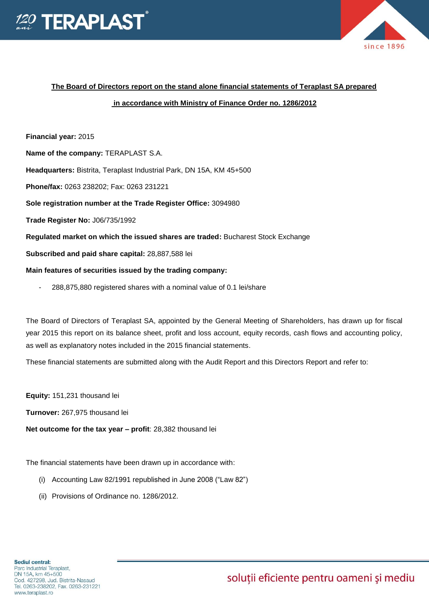



### **The Board of Directors report on the stand alone financial statements of Teraplast SA prepared**

#### **in accordance with Ministry of Finance Order no. 1286/2012**

**Financial year:** 2015

**Name of the company:** TERAPLAST S.A.

**Headquarters:** Bistrita, Teraplast Industrial Park, DN 15A, KM 45+500

**Phone/fax:** 0263 238202; Fax: 0263 231221

**Sole registration number at the Trade Register Office:** 3094980

**Trade Register No:** J06/735/1992

**Regulated market on which the issued shares are traded:** Bucharest Stock Exchange

**Subscribed and paid share capital:** 28,887,588 lei

#### **Main features of securities issued by the trading company:**

288,875,880 registered shares with a nominal value of 0.1 lei/share

The Board of Directors of Teraplast SA, appointed by the General Meeting of Shareholders, has drawn up for fiscal year 2015 this report on its balance sheet, profit and loss account, equity records, cash flows and accounting policy, as well as explanatory notes included in the 2015 financial statements.

These financial statements are submitted along with the Audit Report and this Directors Report and refer to:

**Equity:** 151,231 thousand lei

**Turnover:** 267,975 thousand lei

**Net outcome for the tax year – profit**: 28,382 thousand lei

The financial statements have been drawn up in accordance with:

- (i) Accounting Law 82/1991 republished in June 2008 ("Law 82")
- (ii) Provisions of Ordinance no. 1286/2012.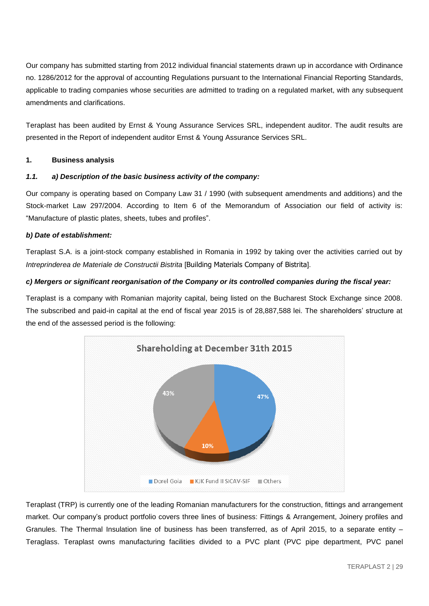Our company has submitted starting from 2012 individual financial statements drawn up in accordance with Ordinance no. 1286/2012 for the approval of accounting Regulations pursuant to the International Financial Reporting Standards, applicable to trading companies whose securities are admitted to trading on a regulated market, with any subsequent amendments and clarifications.

Teraplast has been audited by Ernst & Young Assurance Services SRL, independent auditor. The audit results are presented in the Report of independent auditor Ernst & Young Assurance Services SRL.

#### **1. Business analysis**

### *1.1. a) Description of the basic business activity of the company:*

Our company is operating based on Company Law 31 / 1990 (with subsequent amendments and additions) and the Stock-market Law 297/2004. According to Item 6 of the Memorandum of Association our field of activity is: "Manufacture of plastic plates, sheets, tubes and profiles".

#### *b) Date of establishment:*

Teraplast S.A. is a joint-stock company established in Romania in 1992 by taking over the activities carried out by *Intreprinderea de Materiale de Constructii Bistrita* [Building Materials Company of Bistrita].

## *c) Mergers or significant reorganisation of the Company or its controlled companies during the fiscal year:*

Teraplast is a company with Romanian majority capital, being listed on the Bucharest Stock Exchange since 2008. The subscribed and paid-in capital at the end of fiscal year 2015 is of 28,887,588 lei. The shareholders' structure at the end of the assessed period is the following:



Teraplast (TRP) is currently one of the leading Romanian manufacturers for the construction, fittings and arrangement market. Our company's product portfolio covers three lines of business: Fittings & Arrangement, Joinery profiles and Granules. The Thermal Insulation line of business has been transferred, as of April 2015, to a separate entity – Teraglass. Teraplast owns manufacturing facilities divided to a PVC plant (PVC pipe department, PVC panel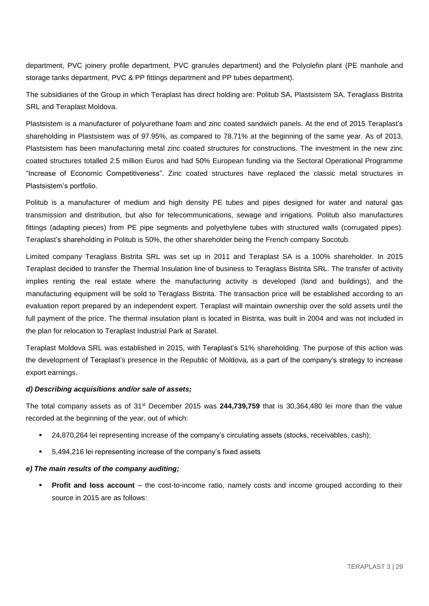department, PVC joinery profile department, PVC granules department) and the Polyolefin plant (PE manhole and storage tanks department, PVC & PP fittings department and PP tubes department).

The subsidiaries of the Group in which Teraplast has direct holding are: Politub SA, Plastsistem SA, Teraglass Bistrita SRL and Teraplast Moldova.

Plastsistem is a manufacturer of polyurethane foam and zinc coated sandwich panels. At the end of 2015 Teraplast's shareholding in Plastsistem was of 97.95%, as compared to 78.71% at the beginning of the same year. As of 2013, Plastsistem has been manufacturing metal zinc coated structures for constructions. The investment in the new zinc coated structures totalled 2.5 million Euros and had 50% European funding via the Sectoral Operational Programme "Increase of Economic Competitiveness". Zinc coated structures have replaced the classic metal structures in Plastsistem's portfolio.

Politub is a manufacturer of medium and high density PE tubes and pipes designed for water and natural gas transmission and distribution, but also for telecommunications, sewage and irrigations. Politub also manufactures fittings (adapting pieces) from PE pipe segments and polyethylene tubes with structured walls (corrugated pipes). Teraplast's shareholding in Politub is 50%, the other shareholder being the French company Socotub.

Limited company Teraglass Bistrita SRL was set up in 2011 and Teraplast SA is a 100% shareholder. In 2015 Teraplast decided to transfer the Thermal Insulation line of business to Teraglass Bistrita SRL. The transfer of activity implies renting the real estate where the manufacturing activity is developed (land and buildings), and the manufacturing equipment will be sold to Teraglass Bistrita. The transaction price will be established according to an evaluation report prepared by an independent expert. Teraplast will maintain ownership over the sold assets until the full payment of the price. The thermal insulation plant is located in Bistrita, was built in 2004 and was not included in the plan for relocation to Teraplast Industrial Park at Saratel.

Teraplast Moldova SRL was established in 2015, with Teraplast's 51% shareholding. The purpose of this action was the development of Teraplast's presence in the Republic of Moldova, as a part of the company's strategy to increase export earnings.

#### *d) Describing acquisitions and/or sale of assets;*

The total company assets as of 31st December 2015 was **244,739,759** that is 30,364,480 lei more than the value recorded at the beginning of the year, out of which:

- 24,870,264 lei representing increase of the company's circulating assets (stocks, receivables, cash);
- 5,494,216 lei representing increase of the company's fixed assets

#### *e) The main results of the company auditing;*

**Profit and loss account** – the cost-to-income ratio, namely costs and income grouped according to their source in 2015 are as follows: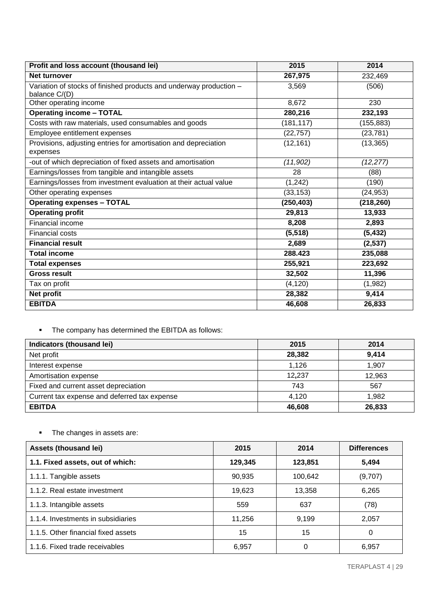| Profit and loss account (thousand lei)                                      | 2015       | 2014       |
|-----------------------------------------------------------------------------|------------|------------|
| Net turnover                                                                | 267,975    | 232,469    |
| Variation of stocks of finished products and underway production -          | 3,569      | (506)      |
| balance C/(D)<br>Other operating income                                     | 8,672      | 230        |
| <b>Operating income - TOTAL</b>                                             | 280,216    |            |
|                                                                             |            | 232,193    |
| Costs with raw materials, used consumables and goods                        | (181, 117) | (155, 883) |
| Employee entitlement expenses                                               | (22, 757)  | (23, 781)  |
| Provisions, adjusting entries for amortisation and depreciation<br>expenses | (12, 161)  | (13, 365)  |
| -out of which depreciation of fixed assets and amortisation                 | (11,902)   | (12, 277)  |
| Earnings/losses from tangible and intangible assets                         | 28         | (88)       |
| Earnings/losses from investment evaluation at their actual value            | (1, 242)   | (190)      |
| Other operating expenses                                                    | (33, 153)  | (24, 953)  |
| <b>Operating expenses - TOTAL</b>                                           | (250, 403) | (218, 260) |
| <b>Operating profit</b>                                                     | 29,813     | 13,933     |
| Financial income                                                            | 8,208      | 2,893      |
| <b>Financial costs</b>                                                      | (5, 518)   | (5, 432)   |
| <b>Financial result</b>                                                     | 2,689      | (2,537)    |
| <b>Total income</b>                                                         | 288.423    | 235,088    |
| <b>Total expenses</b>                                                       | 255,921    | 223,692    |
| <b>Gross result</b>                                                         | 32,502     | 11,396     |
| Tax on profit                                                               | (4, 120)   | (1,982)    |
| <b>Net profit</b>                                                           | 28,382     | 9,414      |
| <b>EBITDA</b>                                                               | 46,608     | 26,833     |

# The company has determined the EBITDA as follows:

| Indicators (thousand lei)                    | 2015   | 2014   |
|----------------------------------------------|--------|--------|
| Net profit                                   | 28,382 | 9,414  |
| Interest expense                             | 1.126  | 1.907  |
| Amortisation expense                         | 12,237 | 12,963 |
| Fixed and current asset depreciation         | 743    | 567    |
| Current tax expense and deferred tax expense | 4.120  | 1,982  |
| <b>EBITDA</b>                                | 46,608 | 26,833 |

# • The changes in assets are:

| Assets (thousand lei)               | 2015    | 2014    | <b>Differences</b> |
|-------------------------------------|---------|---------|--------------------|
| 1.1. Fixed assets, out of which:    | 129,345 | 123,851 | 5,494              |
| 1.1.1. Tangible assets              | 90,935  | 100,642 | (9,707)            |
| 1.1.2. Real estate investment       | 19,623  | 13,358  | 6,265              |
| 1.1.3. Intangible assets            | 559     | 637     | (78)               |
| 1.1.4. Investments in subsidiaries  | 11.256  | 9,199   | 2,057              |
| 1.1.5. Other financial fixed assets | 15      | 15      | 0                  |
| 1.1.6. Fixed trade receivables      | 6,957   | 0       | 6,957              |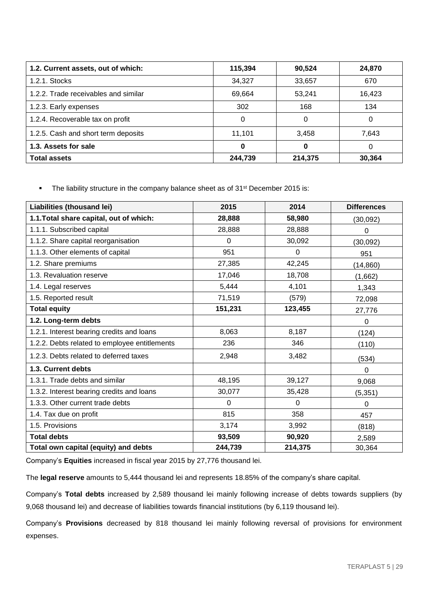| 1.2. Current assets, out of which:   | 115,394 | 90,524  | 24,870 |
|--------------------------------------|---------|---------|--------|
| 1.2.1. Stocks                        | 34.327  | 33,657  | 670    |
| 1.2.2. Trade receivables and similar | 69,664  | 53,241  | 16,423 |
| 1.2.3. Early expenses                | 302     | 168     | 134    |
| 1.2.4. Recoverable tax on profit     | 0       | 0       | 0      |
| 1.2.5. Cash and short term deposits  | 11.101  | 3,458   | 7,643  |
| 1.3. Assets for sale                 | 0       | O       | 0      |
| <b>Total assets</b>                  | 244.739 | 214,375 | 30,364 |

• The liability structure in the company balance sheet as of 31<sup>st</sup> December 2015 is:

| Liabilities (thousand lei)                    | 2015        | 2014        | <b>Differences</b> |
|-----------------------------------------------|-------------|-------------|--------------------|
| 1.1. Total share capital, out of which:       | 28,888      | 58,980      | (30,092)           |
| 1.1.1. Subscribed capital                     | 28,888      | 28,888      | 0                  |
| 1.1.2. Share capital reorganisation           | $\Omega$    | 30,092      | (30,092)           |
| 1.1.3. Other elements of capital              | 951         | $\mathbf 0$ | 951                |
| 1.2. Share premiums                           | 27,385      | 42,245      | (14, 860)          |
| 1.3. Revaluation reserve                      | 17,046      | 18,708      | (1,662)            |
| 1.4. Legal reserves                           | 5,444       | 4,101       | 1,343              |
| 1.5. Reported result                          | 71,519      | (579)       | 72,098             |
| <b>Total equity</b>                           | 151,231     | 123,455     | 27,776             |
| 1.2. Long-term debts                          |             |             | 0                  |
| 1.2.1. Interest bearing credits and loans     | 8,063       | 8,187       | (124)              |
| 1.2.2. Debts related to employee entitlements | 236         | 346         | (110)              |
| 1.2.3. Debts related to deferred taxes        | 2,948       | 3,482       | (534)              |
| 1.3. Current debts                            |             |             | 0                  |
| 1.3.1. Trade debts and similar                | 48,195      | 39,127      | 9,068              |
| 1.3.2. Interest bearing credits and loans     | 30,077      | 35,428      | (5, 351)           |
| 1.3.3. Other current trade debts              | $\mathbf 0$ | $\mathbf 0$ | 0                  |
| 1.4. Tax due on profit                        | 815         | 358         | 457                |
| 1.5. Provisions                               | 3,174       | 3,992       | (818)              |
| <b>Total debts</b>                            | 93,509      | 90,920      | 2,589              |
| Total own capital (equity) and debts          | 244,739     | 214,375     | 30,364             |

Company's **Equities** increased in fiscal year 2015 by 27,776 thousand lei.

The **legal reserve** amounts to 5,444 thousand lei and represents 18.85% of the company's share capital.

Company's **Total debts** increased by 2,589 thousand lei mainly following increase of debts towards suppliers (by 9,068 thousand lei) and decrease of liabilities towards financial institutions (by 6,119 thousand lei).

Company's **Provisions** decreased by 818 thousand lei mainly following reversal of provisions for environment expenses.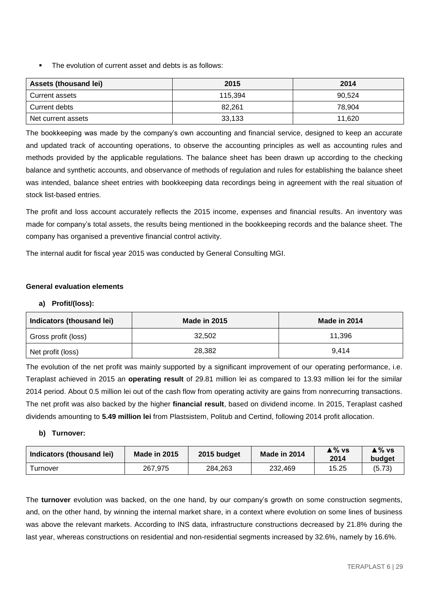The evolution of current asset and debts is as follows:

| <b>Assets (thousand lei)</b> | 2015    | 2014   |
|------------------------------|---------|--------|
| Current assets               | 115.394 | 90.524 |
| Current debts                | 82.261  | 78.904 |
| Net current assets           | 33,133  | 11,620 |

The bookkeeping was made by the company's own accounting and financial service, designed to keep an accurate and updated track of accounting operations, to observe the accounting principles as well as accounting rules and methods provided by the applicable regulations. The balance sheet has been drawn up according to the checking balance and synthetic accounts, and observance of methods of regulation and rules for establishing the balance sheet was intended, balance sheet entries with bookkeeping data recordings being in agreement with the real situation of stock list-based entries.

The profit and loss account accurately reflects the 2015 income, expenses and financial results. An inventory was made for company's total assets, the results being mentioned in the bookkeeping records and the balance sheet. The company has organised a preventive financial control activity.

The internal audit for fiscal year 2015 was conducted by General Consulting MGI.

## **General evaluation elements**

## **a) Profit/(loss):**

| Indicators (thousand lei) | <b>Made in 2015</b> | Made in 2014 |
|---------------------------|---------------------|--------------|
| Gross profit (loss)       | 32,502              | 11,396       |
| Net profit (loss)         | 28,382              | 9.414        |

The evolution of the net profit was mainly supported by a significant improvement of our operating performance, i.e. Teraplast achieved in 2015 an **operating result** of 29.81 million lei as compared to 13.93 million lei for the similar 2014 period. About 0.5 million lei out of the cash flow from operating activity are gains from nonrecurring transactions. The net profit was also backed by the higher **financial result**, based on dividend income. In 2015, Teraplast cashed dividends amounting to **5.49 million lei** from Plastsistem, Politub and Certind, following 2014 profit allocation.

## **b) Turnover:**

| Indicators (thousand lei) | Made in 2015 | 2015 budget | Made in 2014 | ≜ % vs<br>2014 | ≜% vs<br>budget |
|---------------------------|--------------|-------------|--------------|----------------|-----------------|
| Turnover                  | 267.975      | 284.263     | 232.469      | 15.25          | (5.73)          |

The **turnover** evolution was backed, on the one hand, by our company's growth on some construction segments, and, on the other hand, by winning the internal market share, in a context where evolution on some lines of business was above the relevant markets. According to INS data, infrastructure constructions decreased by 21.8% during the last year, whereas constructions on residential and non-residential segments increased by 32.6%, namely by 16.6%.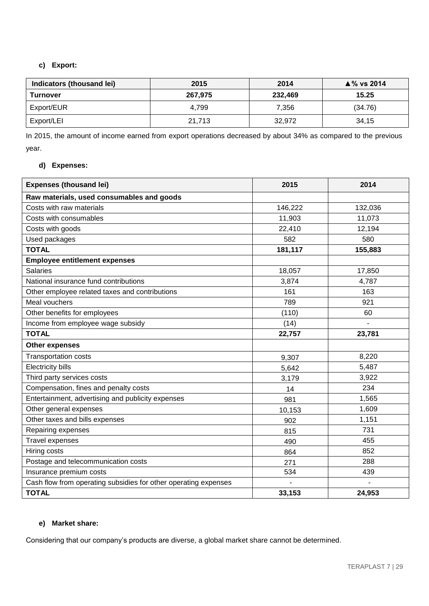## **c) Export:**

| Indicators (thousand lei) | 2015    | 2014    | $\triangle$ % vs 2014 |
|---------------------------|---------|---------|-----------------------|
| <b>Turnover</b>           | 267,975 | 232,469 | 15.25                 |
| Export/EUR                | 4.799   | 7,356   | (34.76)               |
| Export/LEI                | 21.713  | 32.972  | 34,15                 |

In 2015, the amount of income earned from export operations decreased by about 34% as compared to the previous year.

## **d) Expenses:**

| <b>Expenses (thousand lei)</b>                                  | 2015    | 2014    |
|-----------------------------------------------------------------|---------|---------|
| Raw materials, used consumables and goods                       |         |         |
| Costs with raw materials                                        | 146,222 | 132,036 |
| Costs with consumables                                          | 11,903  | 11,073  |
| Costs with goods                                                | 22,410  | 12,194  |
| Used packages                                                   | 582     | 580     |
| <b>TOTAL</b>                                                    | 181,117 | 155,883 |
| <b>Employee entitlement expenses</b>                            |         |         |
| <b>Salaries</b>                                                 | 18,057  | 17,850  |
| National insurance fund contributions                           | 3,874   | 4,787   |
| Other employee related taxes and contributions                  | 161     | 163     |
| Meal vouchers                                                   | 789     | 921     |
| Other benefits for employees                                    | (110)   | 60      |
| Income from employee wage subsidy                               | (14)    |         |
| <b>TOTAL</b>                                                    | 22,757  | 23,781  |
| <b>Other expenses</b>                                           |         |         |
| Transportation costs                                            | 9,307   | 8,220   |
| <b>Electricity bills</b>                                        | 5,642   | 5,487   |
| Third party services costs                                      | 3,179   | 3,922   |
| Compensation, fines and penalty costs                           | 14      | 234     |
| Entertainment, advertising and publicity expenses               | 981     | 1,565   |
| Other general expenses                                          | 10,153  | 1,609   |
| Other taxes and bills expenses                                  | 902     | 1,151   |
| Repairing expenses                                              | 815     | 731     |
| <b>Travel expenses</b>                                          | 490     | 455     |
| Hiring costs                                                    | 864     | 852     |
| Postage and telecommunication costs                             | 271     | 288     |
| Insurance premium costs                                         | 534     | 439     |
| Cash flow from operating subsidies for other operating expenses |         |         |
| <b>TOTAL</b>                                                    | 33,153  | 24,953  |

## **e) Market share:**

Considering that our company's products are diverse, a global market share cannot be determined.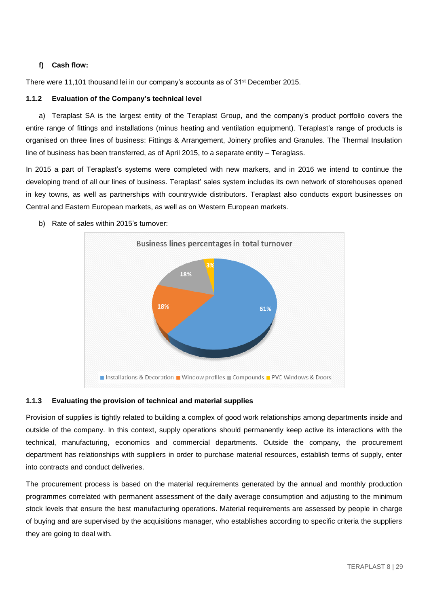## **f) Cash flow:**

There were 11,101 thousand lei in our company's accounts as of 31<sup>st</sup> December 2015.

## **1.1.2 Evaluation of the Company's technical level**

a) Teraplast SA is the largest entity of the Teraplast Group, and the company's product portfolio covers the entire range of fittings and installations (minus heating and ventilation equipment). Teraplast's range of products is organised on three lines of business: Fittings & Arrangement, Joinery profiles and Granules. The Thermal Insulation line of business has been transferred, as of April 2015, to a separate entity – Teraglass.

In 2015 a part of Teraplast's systems were completed with new markers, and in 2016 we intend to continue the developing trend of all our lines of business. Teraplast' sales system includes its own network of storehouses opened in key towns, as well as partnerships with countrywide distributors. Teraplast also conducts export businesses on Central and Eastern European markets, as well as on Western European markets.



b) Rate of sales within 2015's turnover:

#### **1.1.3 Evaluating the provision of technical and material supplies**

Provision of supplies is tightly related to building a complex of good work relationships among departments inside and outside of the company. In this context, supply operations should permanently keep active its interactions with the technical, manufacturing, economics and commercial departments. Outside the company, the procurement department has relationships with suppliers in order to purchase material resources, establish terms of supply, enter into contracts and conduct deliveries.

The procurement process is based on the material requirements generated by the annual and monthly production programmes correlated with permanent assessment of the daily average consumption and adjusting to the minimum stock levels that ensure the best manufacturing operations. Material requirements are assessed by people in charge of buying and are supervised by the acquisitions manager, who establishes according to specific criteria the suppliers they are going to deal with.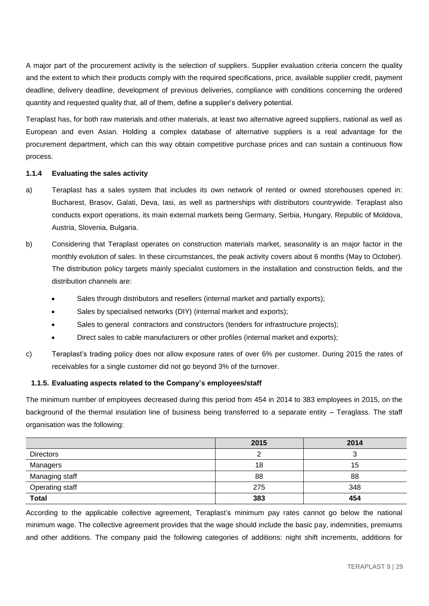A major part of the procurement activity is the selection of suppliers. Supplier evaluation criteria concern the quality and the extent to which their products comply with the required specifications, price, available supplier credit, payment deadline, delivery deadline, development of previous deliveries, compliance with conditions concerning the ordered quantity and requested quality that, all of them, define a supplier's delivery potential.

Teraplast has, for both raw materials and other materials, at least two alternative agreed suppliers, national as well as European and even Asian. Holding a complex database of alternative suppliers is a real advantage for the procurement department, which can this way obtain competitive purchase prices and can sustain a continuous flow process.

#### **1.1.4 Evaluating the sales activity**

- a) Teraplast has a sales system that includes its own network of rented or owned storehouses opened in: Bucharest, Brasov, Galati, Deva, Iasi, as well as partnerships with distributors countrywide. Teraplast also conducts export operations, its main external markets being Germany, Serbia, Hungary, Republic of Moldova, Austria, Slovenia, Bulgaria.
- b) Considering that Teraplast operates on construction materials market, seasonality is an major factor in the monthly evolution of sales. In these circumstances, the peak activity covers about 6 months (May to October). The distribution policy targets mainly specialist customers in the installation and construction fields, and the distribution channels are:
	- Sales through distributors and resellers (internal market and partially exports);
	- Sales by specialised networks (DIY) (internal market and exports);
	- Sales to general contractors and constructors (tenders for infrastructure projects);
	- Direct sales to cable manufacturers or other profiles (internal market and exports);
- c) Teraplast's trading policy does not allow exposure rates of over 6% per customer. During 2015 the rates of receivables for a single customer did not go beyond 3% of the turnover.

#### **1.1.5. Evaluating aspects related to the Company's employees/staff**

The minimum number of employees decreased during this period from 454 in 2014 to 383 employees in 2015, on the background of the thermal insulation line of business being transferred to a separate entity – Teraglass. The staff organisation was the following:

|                        | 2015 | 2014   |
|------------------------|------|--------|
| <b>Directors</b>       |      | ີ<br>ື |
| Managers               | 18   | 15     |
| Managing staff         | 88   | 88     |
| <b>Operating staff</b> | 275  | 348    |
| <b>Total</b>           | 383  | 454    |

According to the applicable collective agreement, Teraplast's minimum pay rates cannot go below the national minimum wage. The collective agreement provides that the wage should include the basic pay, indemnities, premiums and other additions. The company paid the following categories of additions: night shift increments, additions for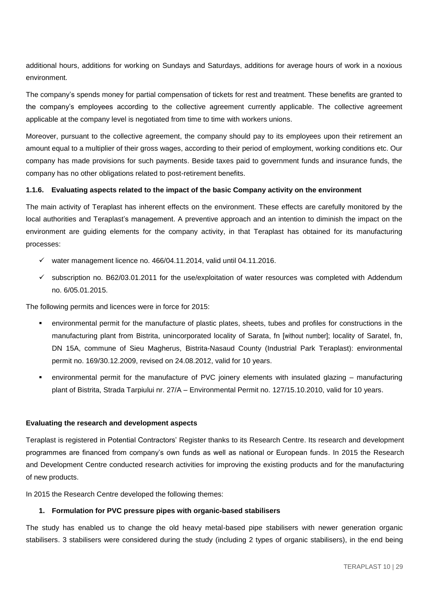additional hours, additions for working on Sundays and Saturdays, additions for average hours of work in a noxious environment.

The company's spends money for partial compensation of tickets for rest and treatment. These benefits are granted to the company's employees according to the collective agreement currently applicable. The collective agreement applicable at the company level is negotiated from time to time with workers unions.

Moreover, pursuant to the collective agreement, the company should pay to its employees upon their retirement an amount equal to a multiplier of their gross wages, according to their period of employment, working conditions etc. Our company has made provisions for such payments. Beside taxes paid to government funds and insurance funds, the company has no other obligations related to post-retirement benefits.

#### **1.1.6. Evaluating aspects related to the impact of the basic Company activity on the environment**

The main activity of Teraplast has inherent effects on the environment. These effects are carefully monitored by the local authorities and Teraplast's management. A preventive approach and an intention to diminish the impact on the environment are guiding elements for the company activity, in that Teraplast has obtained for its manufacturing processes:

- $\checkmark$  water management licence no. 466/04.11.2014, valid until 04.11.2016.
- $\checkmark$  subscription no. B62/03.01.2011 for the use/exploitation of water resources was completed with Addendum no. 6/05.01.2015.

The following permits and licences were in force for 2015:

- environmental permit for the manufacture of plastic plates, sheets, tubes and profiles for constructions in the manufacturing plant from Bistrita, unincorporated locality of Sarata, fn [without number]; locality of Saratel, fn, DN 15A, commune of Sieu Magherus, Bistrita-Nasaud County (Industrial Park Teraplast): environmental permit no. 169/30.12.2009, revised on 24.08.2012, valid for 10 years.
- environmental permit for the manufacture of PVC joinery elements with insulated glazing manufacturing plant of Bistrita, Strada Tarpiului nr. 27/A – Environmental Permit no. 127/15.10.2010, valid for 10 years.

#### **Evaluating the research and development aspects**

Teraplast is registered in Potential Contractors' Register thanks to its Research Centre. Its research and development programmes are financed from company's own funds as well as national or European funds. In 2015 the Research and Development Centre conducted research activities for improving the existing products and for the manufacturing of new products.

In 2015 the Research Centre developed the following themes:

#### **1. Formulation for PVC pressure pipes with organic-based stabilisers**

The study has enabled us to change the old heavy metal-based pipe stabilisers with newer generation organic stabilisers. 3 stabilisers were considered during the study (including 2 types of organic stabilisers), in the end being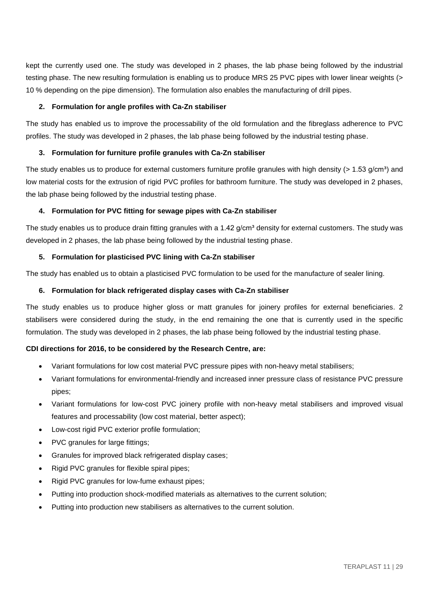kept the currently used one. The study was developed in 2 phases, the lab phase being followed by the industrial testing phase. The new resulting formulation is enabling us to produce MRS 25 PVC pipes with lower linear weights (> 10 % depending on the pipe dimension). The formulation also enables the manufacturing of drill pipes.

## **2. Formulation for angle profiles with Ca-Zn stabiliser**

The study has enabled us to improve the processability of the old formulation and the fibreglass adherence to PVC profiles. The study was developed in 2 phases, the lab phase being followed by the industrial testing phase.

#### **3. Formulation for furniture profile granules with Ca-Zn stabiliser**

The study enables us to produce for external customers furniture profile granules with high density ( $> 1.53$  g/cm<sup>3</sup>) and low material costs for the extrusion of rigid PVC profiles for bathroom furniture. The study was developed in 2 phases, the lab phase being followed by the industrial testing phase.

#### **4. Formulation for PVC fitting for sewage pipes with Ca-Zn stabiliser**

The study enables us to produce drain fitting granules with a  $1.42$  g/cm<sup>3</sup> density for external customers. The study was developed in 2 phases, the lab phase being followed by the industrial testing phase.

#### **5. Formulation for plasticised PVC lining with Ca-Zn stabiliser**

The study has enabled us to obtain a plasticised PVC formulation to be used for the manufacture of sealer lining.

#### **6. Formulation for black refrigerated display cases with Ca-Zn stabiliser**

The study enables us to produce higher gloss or matt granules for joinery profiles for external beneficiaries. 2 stabilisers were considered during the study, in the end remaining the one that is currently used in the specific formulation. The study was developed in 2 phases, the lab phase being followed by the industrial testing phase.

## **CDI directions for 2016, to be considered by the Research Centre, are:**

- Variant formulations for low cost material PVC pressure pipes with non-heavy metal stabilisers;
- Variant formulations for environmental-friendly and increased inner pressure class of resistance PVC pressure pipes;
- Variant formulations for low-cost PVC joinery profile with non-heavy metal stabilisers and improved visual features and processability (low cost material, better aspect);
- Low-cost rigid PVC exterior profile formulation;
- PVC granules for large fittings;
- Granules for improved black refrigerated display cases;
- Rigid PVC granules for flexible spiral pipes;
- Rigid PVC granules for low-fume exhaust pipes;
- Putting into production shock-modified materials as alternatives to the current solution;
- Putting into production new stabilisers as alternatives to the current solution.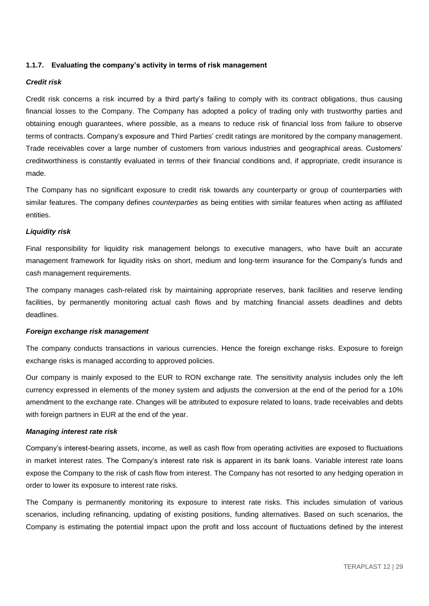#### **1.1.7. Evaluating the company's activity in terms of risk management**

#### *Credit risk*

Credit risk concerns a risk incurred by a third party's failing to comply with its contract obligations, thus causing financial losses to the Company. The Company has adopted a policy of trading only with trustworthy parties and obtaining enough guarantees, where possible, as a means to reduce risk of financial loss from failure to observe terms of contracts. Company's exposure and Third Parties' credit ratings are monitored by the company management. Trade receivables cover a large number of customers from various industries and geographical areas. Customers' creditworthiness is constantly evaluated in terms of their financial conditions and, if appropriate, credit insurance is made.

The Company has no significant exposure to credit risk towards any counterparty or group of counterparties with similar features. The company defines *counterparties* as being entities with similar features when acting as affiliated entities.

#### *Liquidity risk*

Final responsibility for liquidity risk management belongs to executive managers, who have built an accurate management framework for liquidity risks on short, medium and long-term insurance for the Company's funds and cash management requirements.

The company manages cash-related risk by maintaining appropriate reserves, bank facilities and reserve lending facilities, by permanently monitoring actual cash flows and by matching financial assets deadlines and debts deadlines.

#### *Foreign exchange risk management*

The company conducts transactions in various currencies. Hence the foreign exchange risks. Exposure to foreign exchange risks is managed according to approved policies.

Our company is mainly exposed to the EUR to RON exchange rate. The sensitivity analysis includes only the left currency expressed in elements of the money system and adjusts the conversion at the end of the period for a 10% amendment to the exchange rate. Changes will be attributed to exposure related to loans, trade receivables and debts with foreign partners in EUR at the end of the year.

#### *Managing interest rate risk*

Company's interest-bearing assets, income, as well as cash flow from operating activities are exposed to fluctuations in market interest rates. The Company's interest rate risk is apparent in its bank loans. Variable interest rate loans expose the Company to the risk of cash flow from interest. The Company has not resorted to any hedging operation in order to lower its exposure to interest rate risks.

The Company is permanently monitoring its exposure to interest rate risks. This includes simulation of various scenarios, including refinancing, updating of existing positions, funding alternatives. Based on such scenarios, the Company is estimating the potential impact upon the profit and loss account of fluctuations defined by the interest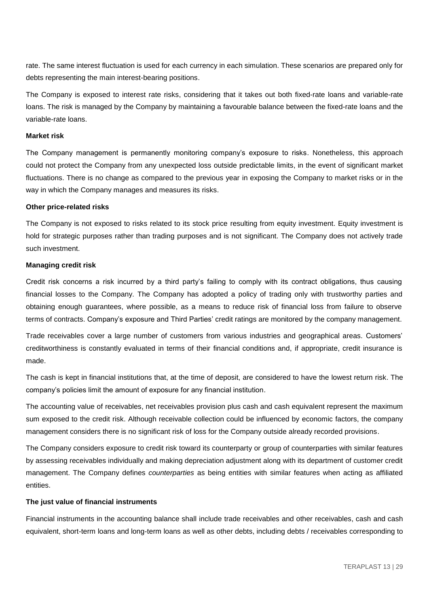rate. The same interest fluctuation is used for each currency in each simulation. These scenarios are prepared only for debts representing the main interest-bearing positions.

The Company is exposed to interest rate risks, considering that it takes out both fixed-rate loans and variable-rate loans. The risk is managed by the Company by maintaining a favourable balance between the fixed-rate loans and the variable-rate loans.

#### **Market risk**

The Company management is permanently monitoring company's exposure to risks. Nonetheless, this approach could not protect the Company from any unexpected loss outside predictable limits, in the event of significant market fluctuations. There is no change as compared to the previous year in exposing the Company to market risks or in the way in which the Company manages and measures its risks.

#### **Other price-related risks**

The Company is not exposed to risks related to its stock price resulting from equity investment. Equity investment is hold for strategic purposes rather than trading purposes and is not significant. The Company does not actively trade such investment.

#### **Managing credit risk**

Credit risk concerns a risk incurred by a third party's failing to comply with its contract obligations, thus causing financial losses to the Company. The Company has adopted a policy of trading only with trustworthy parties and obtaining enough guarantees, where possible, as a means to reduce risk of financial loss from failure to observe terms of contracts. Company's exposure and Third Parties' credit ratings are monitored by the company management.

Trade receivables cover a large number of customers from various industries and geographical areas. Customers' creditworthiness is constantly evaluated in terms of their financial conditions and, if appropriate, credit insurance is made.

The cash is kept in financial institutions that, at the time of deposit, are considered to have the lowest return risk. The company's policies limit the amount of exposure for any financial institution.

The accounting value of receivables, net receivables provision plus cash and cash equivalent represent the maximum sum exposed to the credit risk. Although receivable collection could be influenced by economic factors, the company management considers there is no significant risk of loss for the Company outside already recorded provisions.

The Company considers exposure to credit risk toward its counterparty or group of counterparties with similar features by assessing receivables individually and making depreciation adjustment along with its department of customer credit management. The Company defines *counterparties* as being entities with similar features when acting as affiliated entities.

#### **The just value of financial instruments**

Financial instruments in the accounting balance shall include trade receivables and other receivables, cash and cash equivalent, short-term loans and long-term loans as well as other debts, including debts / receivables corresponding to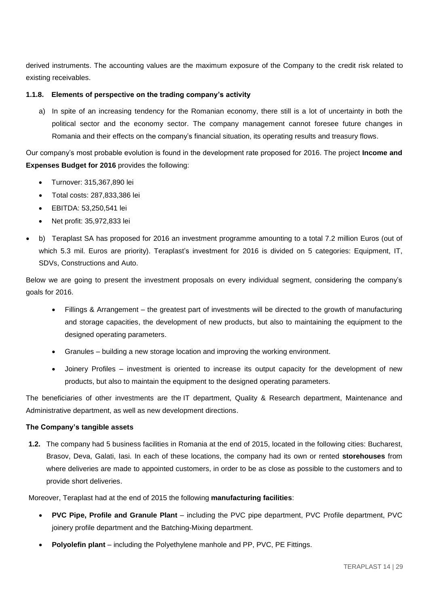derived instruments. The accounting values are the maximum exposure of the Company to the credit risk related to existing receivables.

## **1.1.8. Elements of perspective on the trading company's activity**

a) In spite of an increasing tendency for the Romanian economy, there still is a lot of uncertainty in both the political sector and the economy sector. The company management cannot foresee future changes in Romania and their effects on the company's financial situation, its operating results and treasury flows.

Our company's most probable evolution is found in the development rate proposed for 2016. The project **Income and Expenses Budget for 2016** provides the following:

- Turnover: 315,367,890 lei
- Total costs: 287,833,386 lei
- EBITDA: 53,250,541 lei
- Net profit: 35,972,833 lei
- b) Teraplast SA has proposed for 2016 an investment programme amounting to a total 7.2 million Euros (out of which 5.3 mil. Euros are priority). Teraplast's investment for 2016 is divided on 5 categories: Equipment, IT, SDVs, Constructions and Auto.

Below we are going to present the investment proposals on every individual segment, considering the company's goals for 2016.

- Fillings & Arrangement the greatest part of investments will be directed to the growth of manufacturing and storage capacities, the development of new products, but also to maintaining the equipment to the designed operating parameters.
- Granules building a new storage location and improving the working environment.
- Joinery Profiles investment is oriented to increase its output capacity for the development of new products, but also to maintain the equipment to the designed operating parameters.

The beneficiaries of other investments are the IT department, Quality & Research department, Maintenance and Administrative department, as well as new development directions.

## **The Company's tangible assets**

**1.2.** The company had 5 business facilities in Romania at the end of 2015, located in the following cities: Bucharest, Brasov, Deva, Galati, Iasi. In each of these locations, the company had its own or rented **storehouses** from where deliveries are made to appointed customers, in order to be as close as possible to the customers and to provide short deliveries.

Moreover, Teraplast had at the end of 2015 the following **manufacturing facilities**:

- **PVC Pipe, Profile and Granule Plant** *–* including the PVC pipe department, PVC Profile department, PVC joinery profile department and the Batching-Mixing department.
- **Polyolefin plant** including the Polyethylene manhole and PP, PVC, PE Fittings.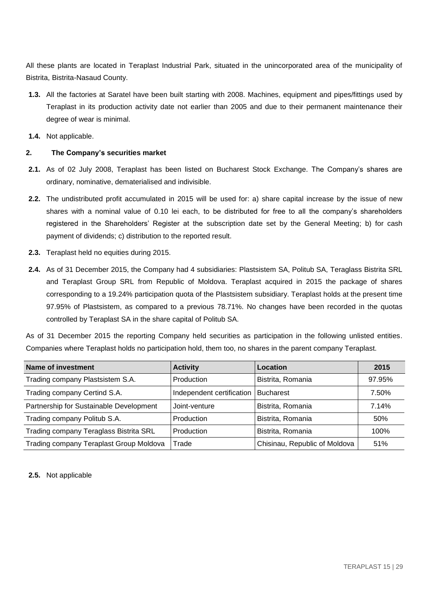All these plants are located in Teraplast Industrial Park, situated in the unincorporated area of the municipality of Bistrita, Bistrita-Nasaud County.

- **1.3.** All the factories at Saratel have been built starting with 2008. Machines, equipment and pipes/fittings used by Teraplast in its production activity date not earlier than 2005 and due to their permanent maintenance their degree of wear is minimal.
- **1.4.** Not applicable.

### **2. The Company's securities market**

- **2.1.** As of 02 July 2008, Teraplast has been listed on Bucharest Stock Exchange. The Company's shares are ordinary, nominative, dematerialised and indivisible.
- **2.2.** The undistributed profit accumulated in 2015 will be used for: a) share capital increase by the issue of new shares with a nominal value of 0.10 lei each, to be distributed for free to all the company's shareholders registered in the Shareholders' Register at the subscription date set by the General Meeting; b) for cash payment of dividends; c) distribution to the reported result.
- **2.3.** Teraplast held no equities during 2015.
- **2.4.** As of 31 December 2015, the Company had 4 subsidiaries: Plastsistem SA, Politub SA, Teraglass Bistrita SRL and Teraplast Group SRL from Republic of Moldova. Teraplast acquired in 2015 the package of shares corresponding to a 19.24% participation quota of the Plastsistem subsidiary. Teraplast holds at the present time 97.95% of Plastsistem, as compared to a previous 78.71%. No changes have been recorded in the quotas controlled by Teraplast SA in the share capital of Politub SA.

As of 31 December 2015 the reporting Company held securities as participation in the following unlisted entities. Companies where Teraplast holds no participation hold, them too, no shares in the parent company Teraplast.

| <b>Name of investment</b>               | <b>Activity</b>           | Location                      | 2015   |
|-----------------------------------------|---------------------------|-------------------------------|--------|
| Trading company Plastsistem S.A.        | Production                | Bistrita, Romania             | 97.95% |
| Trading company Certind S.A.            | Independent certification | <b>Bucharest</b>              | 7.50%  |
| Partnership for Sustainable Development | Joint-venture             | Bistrita, Romania             | 7.14%  |
| Trading company Politub S.A.            | Production                | Bistrita, Romania             | 50%    |
| Trading company Teraglass Bistrita SRL  | Production                | Bistrita, Romania             | 100%   |
| Trading company Teraplast Group Moldova | Trade                     | Chisinau, Republic of Moldova | 51%    |

**2.5.** Not applicable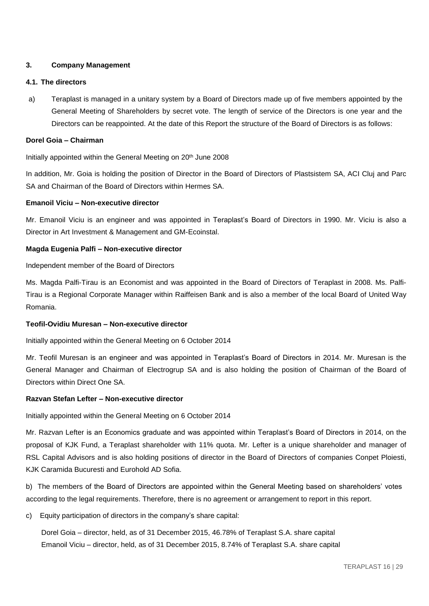## **3. Company Management**

#### **4.1. The directors**

a) Teraplast is managed in a unitary system by a Board of Directors made up of five members appointed by the General Meeting of Shareholders by secret vote. The length of service of the Directors is one year and the Directors can be reappointed. At the date of this Report the structure of the Board of Directors is as follows:

#### **Dorel Goia – Chairman**

Initially appointed within the General Meeting on 20<sup>th</sup> June 2008

In addition, Mr. Goia is holding the position of Director in the Board of Directors of Plastsistem SA, ACI Cluj and Parc SA and Chairman of the Board of Directors within Hermes SA.

## **Emanoil Viciu – Non-executive director**

Mr. Emanoil Viciu is an engineer and was appointed in Teraplast's Board of Directors in 1990. Mr. Viciu is also a Director in Art Investment & Management and GM-Ecoinstal.

#### **Magda Eugenia Palfi – Non-executive director**

Independent member of the Board of Directors

Ms. Magda Palfi-Tirau is an Economist and was appointed in the Board of Directors of Teraplast in 2008. Ms. Palfi-Tirau is a Regional Corporate Manager within Raiffeisen Bank and is also a member of the local Board of United Way Romania.

## **Teofil-Ovidiu Muresan – Non-executive director**

Initially appointed within the General Meeting on 6 October 2014

Mr. Teofil Muresan is an engineer and was appointed in Teraplast's Board of Directors in 2014. Mr. Muresan is the General Manager and Chairman of Electrogrup SA and is also holding the position of Chairman of the Board of Directors within Direct One SA.

## **Razvan Stefan Lefter – Non-executive director**

Initially appointed within the General Meeting on 6 October 2014

Mr. Razvan Lefter is an Economics graduate and was appointed within Teraplast's Board of Directors in 2014, on the proposal of KJK Fund, a Teraplast shareholder with 11% quota. Mr. Lefter is a unique shareholder and manager of RSL Capital Advisors and is also holding positions of director in the Board of Directors of companies Conpet Ploiesti, KJK Caramida Bucuresti and Eurohold AD Sofia.

b) The members of the Board of Directors are appointed within the General Meeting based on shareholders' votes according to the legal requirements. Therefore, there is no agreement or arrangement to report in this report.

c) Equity participation of directors in the company's share capital:

Dorel Goia – director, held, as of 31 December 2015, 46.78% of Teraplast S.A. share capital Emanoil Viciu – director, held, as of 31 December 2015, 8.74% of Teraplast S.A. share capital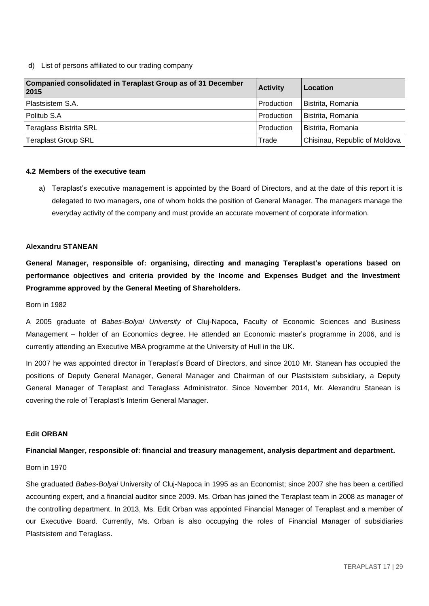#### d) List of persons affiliated to our trading company

| <b>Companied consolidated in Teraplast Group as of 31 December</b><br>2015 | <b>Activity</b> | Location                      |
|----------------------------------------------------------------------------|-----------------|-------------------------------|
| Plastsistem S.A.                                                           | Production      | Bistrita, Romania             |
| Politub S.A                                                                | Production      | Bistrita, Romania             |
| <b>Teraglass Bistrita SRL</b>                                              | Production      | Bistrita, Romania             |
| <b>Teraplast Group SRL</b>                                                 | Trade           | Chisinau, Republic of Moldova |

#### **4.2 Members of the executive team**

a) Teraplast's executive management is appointed by the Board of Directors, and at the date of this report it is delegated to two managers, one of whom holds the position of General Manager. The managers manage the everyday activity of the company and must provide an accurate movement of corporate information.

#### **Alexandru STANEAN**

**General Manager, responsible of: organising, directing and managing Teraplast's operations based on performance objectives and criteria provided by the Income and Expenses Budget and the Investment Programme approved by the General Meeting of Shareholders.**

Born in 1982

A 2005 graduate of *Babes-Bolyai University* of Cluj-Napoca, Faculty of Economic Sciences and Business Management – holder of an Economics degree. He attended an Economic master's programme in 2006, and is currently attending an Executive MBA programme at the University of Hull in the UK.

In 2007 he was appointed director in Teraplast's Board of Directors, and since 2010 Mr. Stanean has occupied the positions of Deputy General Manager, General Manager and Chairman of our Plastsistem subsidiary, a Deputy General Manager of Teraplast and Teraglass Administrator. Since November 2014, Mr. Alexandru Stanean is covering the role of Teraplast's Interim General Manager.

#### **Edit ORBAN**

#### **Financial Manger, responsible of: financial and treasury management, analysis department and department.**

#### Born in 1970

She graduated *Babes-Bolyai* University of Cluj-Napoca in 1995 as an Economist; since 2007 she has been a certified accounting expert, and a financial auditor since 2009. Ms. Orban has joined the Teraplast team in 2008 as manager of the controlling department. In 2013, Ms. Edit Orban was appointed Financial Manager of Teraplast and a member of our Executive Board. Currently, Ms. Orban is also occupying the roles of Financial Manager of subsidiaries Plastsistem and Teraglass.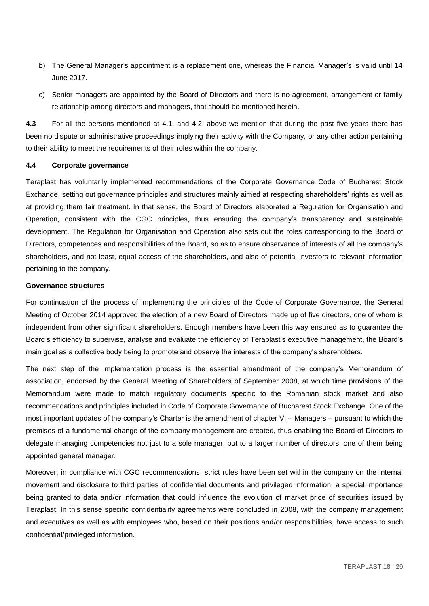- b) The General Manager's appointment is a replacement one, whereas the Financial Manager's is valid until 14 June 2017.
- c) Senior managers are appointed by the Board of Directors and there is no agreement, arrangement or family relationship among directors and managers, that should be mentioned herein.

**4.3** For all the persons mentioned at 4.1. and 4.2. above we mention that during the past five years there has been no dispute or administrative proceedings implying their activity with the Company, or any other action pertaining to their ability to meet the requirements of their roles within the company.

#### **4.4 Corporate governance**

Teraplast has voluntarily implemented recommendations of the Corporate Governance Code of Bucharest Stock Exchange, setting out governance principles and structures mainly aimed at respecting shareholders' rights as well as at providing them fair treatment. In that sense, the Board of Directors elaborated a Regulation for Organisation and Operation, consistent with the CGC principles, thus ensuring the company's transparency and sustainable development. The Regulation for Organisation and Operation also sets out the roles corresponding to the Board of Directors, competences and responsibilities of the Board, so as to ensure observance of interests of all the company's shareholders, and not least, equal access of the shareholders, and also of potential investors to relevant information pertaining to the company.

#### **Governance structures**

For continuation of the process of implementing the principles of the Code of Corporate Governance, the General Meeting of October 2014 approved the election of a new Board of Directors made up of five directors, one of whom is independent from other significant shareholders. Enough members have been this way ensured as to guarantee the Board's efficiency to supervise, analyse and evaluate the efficiency of Teraplast's executive management, the Board's main goal as a collective body being to promote and observe the interests of the company's shareholders.

The next step of the implementation process is the essential amendment of the company's Memorandum of association, endorsed by the General Meeting of Shareholders of September 2008, at which time provisions of the Memorandum were made to match regulatory documents specific to the Romanian stock market and also recommendations and principles included in Code of Corporate Governance of Bucharest Stock Exchange. One of the most important updates of the company's Charter is the amendment of chapter VI – Managers – pursuant to which the premises of a fundamental change of the company management are created, thus enabling the Board of Directors to delegate managing competencies not just to a sole manager, but to a larger number of directors, one of them being appointed general manager.

Moreover, in compliance with CGC recommendations, strict rules have been set within the company on the internal movement and disclosure to third parties of confidential documents and privileged information, a special importance being granted to data and/or information that could influence the evolution of market price of securities issued by Teraplast. In this sense specific confidentiality agreements were concluded in 2008, with the company management and executives as well as with employees who, based on their positions and/or responsibilities, have access to such confidential/privileged information.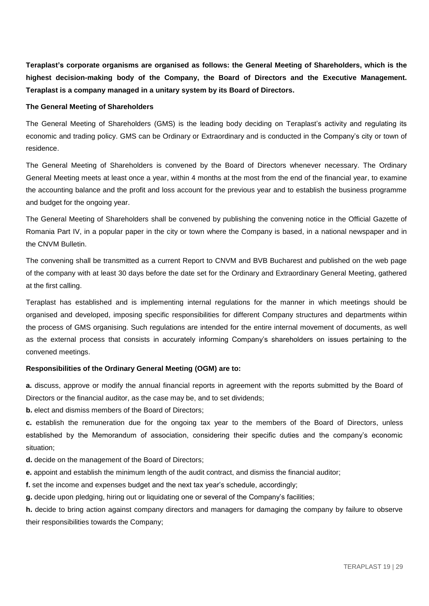**Teraplast's corporate organisms are organised as follows: the General Meeting of Shareholders, which is the highest decision-making body of the Company, the Board of Directors and the Executive Management. Teraplast is a company managed in a unitary system by its Board of Directors.**

#### **The General Meeting of Shareholders**

The General Meeting of Shareholders (GMS) is the leading body deciding on Teraplast's activity and regulating its economic and trading policy. GMS can be Ordinary or Extraordinary and is conducted in the Company's city or town of residence.

The General Meeting of Shareholders is convened by the Board of Directors whenever necessary. The Ordinary General Meeting meets at least once a year, within 4 months at the most from the end of the financial year, to examine the accounting balance and the profit and loss account for the previous year and to establish the business programme and budget for the ongoing year.

The General Meeting of Shareholders shall be convened by publishing the convening notice in the Official Gazette of Romania Part IV, in a popular paper in the city or town where the Company is based, in a national newspaper and in the CNVM Bulletin.

The convening shall be transmitted as a current Report to CNVM and BVB Bucharest and published on the web page of the company with at least 30 days before the date set for the Ordinary and Extraordinary General Meeting, gathered at the first calling.

Teraplast has established and is implementing internal regulations for the manner in which meetings should be organised and developed, imposing specific responsibilities for different Company structures and departments within the process of GMS organising. Such regulations are intended for the entire internal movement of documents, as well as the external process that consists in accurately informing Company's shareholders on issues pertaining to the convened meetings.

## **Responsibilities of the Ordinary General Meeting (OGM) are to:**

**a.** discuss, approve or modify the annual financial reports in agreement with the reports submitted by the Board of Directors or the financial auditor, as the case may be, and to set dividends;

**b.** elect and dismiss members of the Board of Directors:

**c.** establish the remuneration due for the ongoing tax year to the members of the Board of Directors, unless established by the Memorandum of association, considering their specific duties and the company's economic situation;

**d.** decide on the management of the Board of Directors;

**e.** appoint and establish the minimum length of the audit contract, and dismiss the financial auditor;

**f.** set the income and expenses budget and the next tax year's schedule, accordingly;

**g.** decide upon pledging, hiring out or liquidating one or several of the Company's facilities;

**h.** decide to bring action against company directors and managers for damaging the company by failure to observe their responsibilities towards the Company;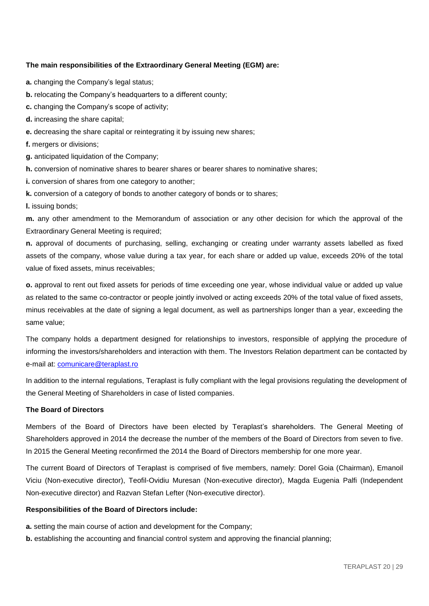## **The main responsibilities of the Extraordinary General Meeting (EGM) are:**

- **a.** changing the Company's legal status;
- **b.** relocating the Company's headquarters to a different county;
- **c.** changing the Company's scope of activity;
- **d.** increasing the share capital;
- **e.** decreasing the share capital or reintegrating it by issuing new shares;
- **f.** mergers or divisions;
- **g.** anticipated liquidation of the Company;
- **h.** conversion of nominative shares to bearer shares or bearer shares to nominative shares;
- **i.** conversion of shares from one category to another;
- **k.** conversion of a category of bonds to another category of bonds or to shares;
- **l.** issuing bonds;

**m.** any other amendment to the Memorandum of association or any other decision for which the approval of the Extraordinary General Meeting is required;

**n.** approval of documents of purchasing, selling, exchanging or creating under warranty assets labelled as fixed assets of the company, whose value during a tax year, for each share or added up value, exceeds 20% of the total value of fixed assets, minus receivables;

**o.** approval to rent out fixed assets for periods of time exceeding one year, whose individual value or added up value as related to the same co-contractor or people jointly involved or acting exceeds 20% of the total value of fixed assets, minus receivables at the date of signing a legal document, as well as partnerships longer than a year, exceeding the same value;

The company holds a department designed for relationships to investors, responsible of applying the procedure of informing the investors/shareholders and interaction with them. The Investors Relation department can be contacted by e-mail at: [comunicare@teraplast.ro](mailto:comunicare@teraplast.ro)

In addition to the internal regulations, Teraplast is fully compliant with the legal provisions regulating the development of the General Meeting of Shareholders in case of listed companies.

## **The Board of Directors**

Members of the Board of Directors have been elected by Teraplast's shareholders. The General Meeting of Shareholders approved in 2014 the decrease the number of the members of the Board of Directors from seven to five. In 2015 the General Meeting reconfirmed the 2014 the Board of Directors membership for one more year.

The current Board of Directors of Teraplast is comprised of five members, namely: Dorel Goia (Chairman), Emanoil Viciu (Non-executive director), Teofil-Ovidiu Muresan (Non-executive director), Magda Eugenia Palfi (Independent Non-executive director) and Razvan Stefan Lefter (Non-executive director).

## **Responsibilities of the Board of Directors include:**

- **a.** setting the main course of action and development for the Company;
- **b.** establishing the accounting and financial control system and approving the financial planning;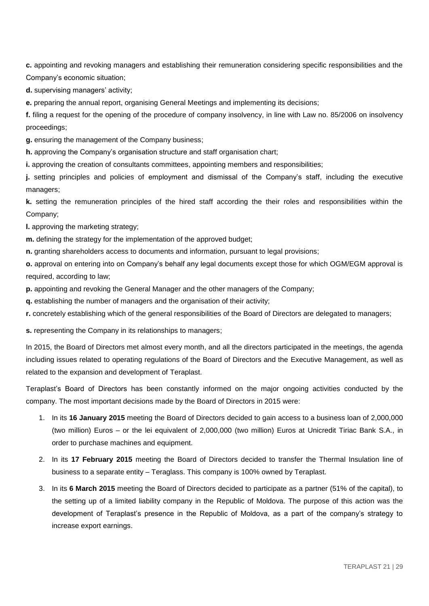**c.** appointing and revoking managers and establishing their remuneration considering specific responsibilities and the Company's economic situation;

**d.** supervising managers' activity;

**e.** preparing the annual report, organising General Meetings and implementing its decisions;

**f.** filing a request for the opening of the procedure of company insolvency, in line with Law no. 85/2006 on insolvency proceedings;

**g.** ensuring the management of the Company business;

**h.** approving the Company's organisation structure and staff organisation chart;

**i.** approving the creation of consultants committees, appointing members and responsibilities;

**j.** setting principles and policies of employment and dismissal of the Company's staff, including the executive managers;

**k.** setting the remuneration principles of the hired staff according the their roles and responsibilities within the Company;

**l.** approving the marketing strategy;

**m.** defining the strategy for the implementation of the approved budget;

**n.** granting shareholders access to documents and information, pursuant to legal provisions;

**o.** approval on entering into on Company's behalf any legal documents except those for which OGM/EGM approval is required, according to law;

**p.** appointing and revoking the General Manager and the other managers of the Company;

**q.** establishing the number of managers and the organisation of their activity;

**r.** concretely establishing which of the general responsibilities of the Board of Directors are delegated to managers;

**s.** representing the Company in its relationships to managers;

In 2015, the Board of Directors met almost every month, and all the directors participated in the meetings, the agenda including issues related to operating regulations of the Board of Directors and the Executive Management, as well as related to the expansion and development of Teraplast.

Teraplast's Board of Directors has been constantly informed on the major ongoing activities conducted by the company. The most important decisions made by the Board of Directors in 2015 were:

- 1. In its **16 January 2015** meeting the Board of Directors decided to gain access to a business loan of 2,000,000 (two million) Euros – or the lei equivalent of 2,000,000 (two million) Euros at Unicredit Tiriac Bank S.A., in order to purchase machines and equipment.
- 2. In its **17 February 2015** meeting the Board of Directors decided to transfer the Thermal Insulation line of business to a separate entity – Teraglass. This company is 100% owned by Teraplast.
- 3. In its **6 March 2015** meeting the Board of Directors decided to participate as a partner (51% of the capital), to the setting up of a limited liability company in the Republic of Moldova. The purpose of this action was the development of Teraplast's presence in the Republic of Moldova, as a part of the company's strategy to increase export earnings.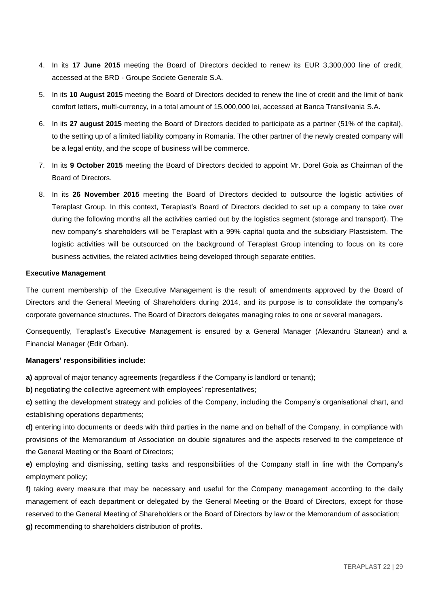- 4. In its **17 June 2015** meeting the Board of Directors decided to renew its EUR 3,300,000 line of credit, accessed at the BRD - Groupe Societe Generale S.A.
- 5. In its **10 August 2015** meeting the Board of Directors decided to renew the line of credit and the limit of bank comfort letters, multi-currency, in a total amount of 15,000,000 lei, accessed at Banca Transilvania S.A.
- 6. In its **27 august 2015** meeting the Board of Directors decided to participate as a partner (51% of the capital), to the setting up of a limited liability company in Romania. The other partner of the newly created company will be a legal entity, and the scope of business will be commerce.
- 7. In its **9 October 2015** meeting the Board of Directors decided to appoint Mr. Dorel Goia as Chairman of the Board of Directors.
- 8. In its **26 November 2015** meeting the Board of Directors decided to outsource the logistic activities of Teraplast Group. In this context, Teraplast's Board of Directors decided to set up a company to take over during the following months all the activities carried out by the logistics segment (storage and transport). The new company's shareholders will be Teraplast with a 99% capital quota and the subsidiary Plastsistem. The logistic activities will be outsourced on the background of Teraplast Group intending to focus on its core business activities, the related activities being developed through separate entities.

#### **Executive Management**

The current membership of the Executive Management is the result of amendments approved by the Board of Directors and the General Meeting of Shareholders during 2014, and its purpose is to consolidate the company's corporate governance structures. The Board of Directors delegates managing roles to one or several managers.

Consequently, Teraplast's Executive Management is ensured by a General Manager (Alexandru Stanean) and a Financial Manager (Edit Orban).

#### **Managers' responsibilities include:**

**a)** approval of major tenancy agreements (regardless if the Company is landlord or tenant);

**b)** negotiating the collective agreement with employees' representatives;

**c)** setting the development strategy and policies of the Company, including the Company's organisational chart, and establishing operations departments;

**d)** entering into documents or deeds with third parties in the name and on behalf of the Company, in compliance with provisions of the Memorandum of Association on double signatures and the aspects reserved to the competence of the General Meeting or the Board of Directors;

**e)** employing and dismissing, setting tasks and responsibilities of the Company staff in line with the Company's employment policy;

**f)** taking every measure that may be necessary and useful for the Company management according to the daily management of each department or delegated by the General Meeting or the Board of Directors, except for those reserved to the General Meeting of Shareholders or the Board of Directors by law or the Memorandum of association; **g)** recommending to shareholders distribution of profits.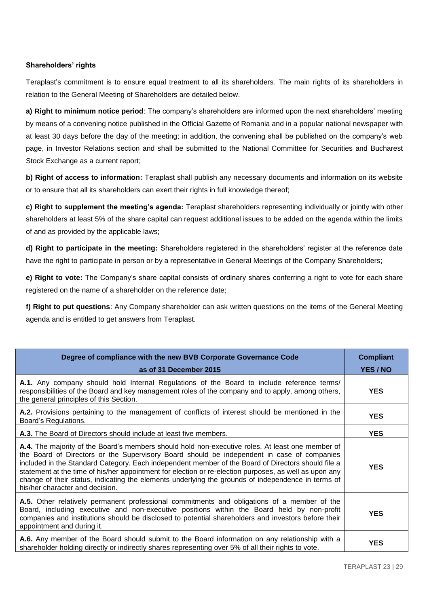## **Shareholders' rights**

Teraplast's commitment is to ensure equal treatment to all its shareholders. The main rights of its shareholders in relation to the General Meeting of Shareholders are detailed below.

**a) Right to minimum notice period**: The company's shareholders are informed upon the next shareholders' meeting by means of a convening notice published in the Official Gazette of Romania and in a popular national newspaper with at least 30 days before the day of the meeting; in addition, the convening shall be published on the company's web page, in Investor Relations section and shall be submitted to the National Committee for Securities and Bucharest Stock Exchange as a current report;

**b) Right of access to information:** Teraplast shall publish any necessary documents and information on its website or to ensure that all its shareholders can exert their rights in full knowledge thereof;

**c) Right to supplement the meeting's agenda:** Teraplast shareholders representing individually or jointly with other shareholders at least 5% of the share capital can request additional issues to be added on the agenda within the limits of and as provided by the applicable laws;

**d) Right to participate in the meeting:** Shareholders registered in the shareholders' register at the reference date have the right to participate in person or by a representative in General Meetings of the Company Shareholders;

**e) Right to vote:** The Company's share capital consists of ordinary shares conferring a right to vote for each share registered on the name of a shareholder on the reference date;

**f) Right to put questions**: Any Company shareholder can ask written questions on the items of the General Meeting agenda and is entitled to get answers from Teraplast.

| Degree of compliance with the new BVB Corporate Governance Code                                                                                                                                                                                                                                                                                                                                                                                                                                                                                         | <b>Compliant</b> |
|---------------------------------------------------------------------------------------------------------------------------------------------------------------------------------------------------------------------------------------------------------------------------------------------------------------------------------------------------------------------------------------------------------------------------------------------------------------------------------------------------------------------------------------------------------|------------------|
| as of 31 December 2015                                                                                                                                                                                                                                                                                                                                                                                                                                                                                                                                  | YES / NO         |
| A.1. Any company should hold Internal Regulations of the Board to include reference terms/<br>responsibilities of the Board and key management roles of the company and to apply, among others,<br>the general principles of this Section.                                                                                                                                                                                                                                                                                                              | <b>YES</b>       |
| A.2. Provisions pertaining to the management of conflicts of interest should be mentioned in the<br>Board's Regulations.                                                                                                                                                                                                                                                                                                                                                                                                                                | <b>YES</b>       |
| <b>A.3.</b> The Board of Directors should include at least five members.                                                                                                                                                                                                                                                                                                                                                                                                                                                                                | <b>YES</b>       |
| A.4. The majority of the Board's members should hold non-executive roles. At least one member of<br>the Board of Directors or the Supervisory Board should be independent in case of companies<br>included in the Standard Category. Each independent member of the Board of Directors should file a<br>statement at the time of his/her appointment for election or re-election purposes, as well as upon any<br>change of their status, indicating the elements underlying the grounds of independence in terms of<br>his/her character and decision. | <b>YES</b>       |
| A.5. Other relatively permanent professional commitments and obligations of a member of the<br>Board, including executive and non-executive positions within the Board held by non-profit<br>companies and institutions should be disclosed to potential shareholders and investors before their<br>appointment and during it.                                                                                                                                                                                                                          | <b>YES</b>       |
| A.6. Any member of the Board should submit to the Board information on any relationship with a<br>shareholder holding directly or indirectly shares representing over 5% of all their rights to vote.                                                                                                                                                                                                                                                                                                                                                   | <b>YES</b>       |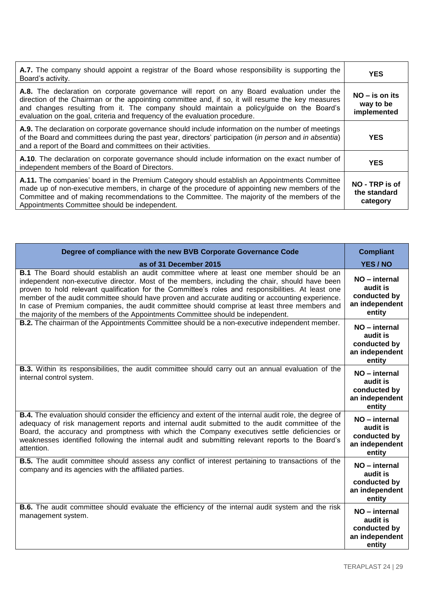| A.7. The company should appoint a registrar of the Board whose responsibility is supporting the<br>Board's activity.                                                                                                                                                                                                                                                       | <b>YES</b>                                   |
|----------------------------------------------------------------------------------------------------------------------------------------------------------------------------------------------------------------------------------------------------------------------------------------------------------------------------------------------------------------------------|----------------------------------------------|
| A.8. The declaration on corporate governance will report on any Board evaluation under the<br>direction of the Chairman or the appointing committee and, if so, it will resume the key measures<br>and changes resulting from it. The company should maintain a policy/guide on the Board's<br>evaluation on the goal, criteria and frequency of the evaluation procedure. | $NO - is$ on its<br>way to be<br>implemented |
| A.9. The declaration on corporate governance should include information on the number of meetings<br>of the Board and committees during the past year, directors' participation (in person and in absentia)<br>and a report of the Board and committees on their activities.                                                                                               | <b>YES</b>                                   |
| A.10. The declaration on corporate governance should include information on the exact number of<br>independent members of the Board of Directors.                                                                                                                                                                                                                          | <b>YES</b>                                   |
| A.11. The companies' board in the Premium Category should establish an Appointments Committee<br>made up of non-executive members, in charge of the procedure of appointing new members of the<br>Committee and of making recommendations to the Committee. The majority of the members of the<br>Appointments Committee should be independent.                            | NO - TRP is of<br>the standard<br>category   |

| Degree of compliance with the new BVB Corporate Governance Code                                                                                                                                                                                                                                                                                                                                                                                                                                                                                                                                 | <b>Compliant</b>                                                      |
|-------------------------------------------------------------------------------------------------------------------------------------------------------------------------------------------------------------------------------------------------------------------------------------------------------------------------------------------------------------------------------------------------------------------------------------------------------------------------------------------------------------------------------------------------------------------------------------------------|-----------------------------------------------------------------------|
| as of 31 December 2015                                                                                                                                                                                                                                                                                                                                                                                                                                                                                                                                                                          | <b>YES/NO</b>                                                         |
| <b>B.1</b> The Board should establish an audit committee where at least one member should be an<br>independent non-executive director. Most of the members, including the chair, should have been<br>proven to hold relevant qualification for the Committee's roles and responsibilities. At least one<br>member of the audit committee should have proven and accurate auditing or accounting experience.<br>In case of Premium companies, the audit committee should comprise at least three members and<br>the majority of the members of the Appointments Committee should be independent. | NO - internal<br>audit is<br>conducted by<br>an independent<br>entity |
| <b>B.2.</b> The chairman of the Appointments Committee should be a non-executive independent member.                                                                                                                                                                                                                                                                                                                                                                                                                                                                                            | NO - internal<br>audit is<br>conducted by<br>an independent<br>entity |
| <b>B.3.</b> Within its responsibilities, the audit committee should carry out an annual evaluation of the<br>internal control system.                                                                                                                                                                                                                                                                                                                                                                                                                                                           | NO - internal<br>audit is<br>conducted by<br>an independent<br>entity |
| <b>B.4.</b> The evaluation should consider the efficiency and extent of the internal audit role, the degree of<br>adequacy of risk management reports and internal audit submitted to the audit committee of the<br>Board, the accuracy and promptness with which the Company executives settle deficiencies or<br>weaknesses identified following the internal audit and submitting relevant reports to the Board's<br>attention.                                                                                                                                                              | NO - internal<br>audit is<br>conducted by<br>an independent<br>entity |
| <b>B.5.</b> The audit committee should assess any conflict of interest pertaining to transactions of the<br>company and its agencies with the affiliated parties.                                                                                                                                                                                                                                                                                                                                                                                                                               | NO - internal<br>audit is<br>conducted by<br>an independent<br>entity |
| B.6. The audit committee should evaluate the efficiency of the internal audit system and the risk<br>management system.                                                                                                                                                                                                                                                                                                                                                                                                                                                                         | NO - internal<br>audit is<br>conducted by<br>an independent<br>entity |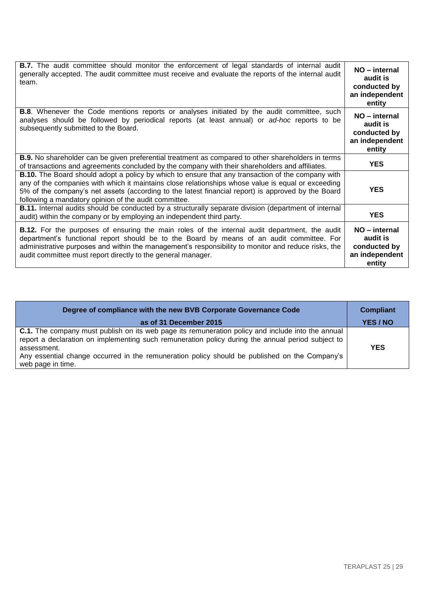| <b>B.7.</b> The audit committee should monitor the enforcement of legal standards of internal audit<br>generally accepted. The audit committee must receive and evaluate the reports of the internal audit<br>team.                                                                                                                                                           | NO - internal<br>audit is<br>conducted by<br>an independent<br>entity |
|-------------------------------------------------------------------------------------------------------------------------------------------------------------------------------------------------------------------------------------------------------------------------------------------------------------------------------------------------------------------------------|-----------------------------------------------------------------------|
| <b>B.8.</b> Whenever the Code mentions reports or analyses initiated by the audit committee, such<br>analyses should be followed by periodical reports (at least annual) or ad-hoc reports to be<br>subsequently submitted to the Board.                                                                                                                                      | NO - internal<br>audit is<br>conducted by<br>an independent<br>entity |
| <b>B.9.</b> No shareholder can be given preferential treatment as compared to other shareholders in terms<br>of transactions and agreements concluded by the company with their shareholders and affiliates.                                                                                                                                                                  | <b>YES</b>                                                            |
| <b>B.10.</b> The Board should adopt a policy by which to ensure that any transaction of the company with<br>any of the companies with which it maintains close relationships whose value is equal or exceeding<br>5% of the company's net assets (according to the latest financial report) is approved by the Board<br>following a mandatory opinion of the audit committee. | <b>YES</b>                                                            |
| <b>B.11.</b> Internal audits should be conducted by a structurally separate division (department of internal<br>audit) within the company or by employing an independent third party.                                                                                                                                                                                         | <b>YES</b>                                                            |
| <b>B.12.</b> For the purposes of ensuring the main roles of the internal audit department, the audit<br>department's functional report should be to the Board by means of an audit committee. For<br>administrative purposes and within the management's responsibility to monitor and reduce risks, the<br>audit committee must report directly to the general manager.      | NO - internal<br>audit is<br>conducted by<br>an independent<br>entity |

| Degree of compliance with the new BVB Corporate Governance Code                                                                                                                                                                                                                                                                                    | <b>Compliant</b> |
|----------------------------------------------------------------------------------------------------------------------------------------------------------------------------------------------------------------------------------------------------------------------------------------------------------------------------------------------------|------------------|
| as of 31 December 2015                                                                                                                                                                                                                                                                                                                             | YES / NO         |
| <b>C.1.</b> The company must publish on its web page its remuneration policy and include into the annual<br>report a declaration on implementing such remuneration policy during the annual period subject to<br>assessment.<br>Any essential change occurred in the remuneration policy should be published on the Company's<br>web page in time. | <b>YES</b>       |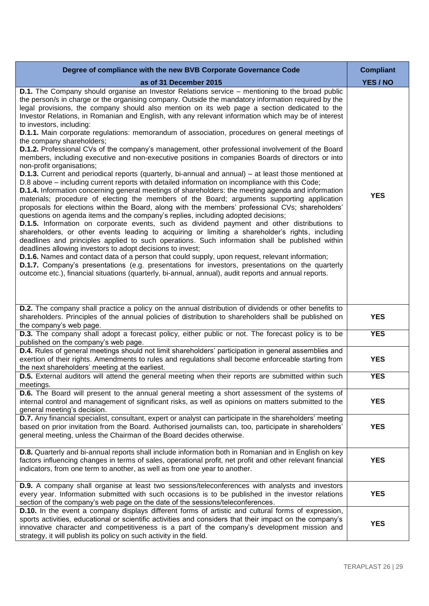| Degree of compliance with the new BVB Corporate Governance Code                                                                                                                                                                                                                                                                                                                                                                                                                                                                                                                                                                                                                                                                                                                                                                                                                                                                                                                                                                                                                                                                                                                                                                                                                                                                                                                                                                                                                                                                                                                                                                                                                                                                                                                                                                                                                                                                                                                                                                                                                                                                                           | <b>Compliant</b> |
|-----------------------------------------------------------------------------------------------------------------------------------------------------------------------------------------------------------------------------------------------------------------------------------------------------------------------------------------------------------------------------------------------------------------------------------------------------------------------------------------------------------------------------------------------------------------------------------------------------------------------------------------------------------------------------------------------------------------------------------------------------------------------------------------------------------------------------------------------------------------------------------------------------------------------------------------------------------------------------------------------------------------------------------------------------------------------------------------------------------------------------------------------------------------------------------------------------------------------------------------------------------------------------------------------------------------------------------------------------------------------------------------------------------------------------------------------------------------------------------------------------------------------------------------------------------------------------------------------------------------------------------------------------------------------------------------------------------------------------------------------------------------------------------------------------------------------------------------------------------------------------------------------------------------------------------------------------------------------------------------------------------------------------------------------------------------------------------------------------------------------------------------------------------|------------------|
| as of 31 December 2015                                                                                                                                                                                                                                                                                                                                                                                                                                                                                                                                                                                                                                                                                                                                                                                                                                                                                                                                                                                                                                                                                                                                                                                                                                                                                                                                                                                                                                                                                                                                                                                                                                                                                                                                                                                                                                                                                                                                                                                                                                                                                                                                    | YES / NO         |
| <b>D.1.</b> The Company should organise an Investor Relations service – mentioning to the broad public<br>the person/s in charge or the organising company. Outside the mandatory information required by the<br>legal provisions, the company should also mention on its web page a section dedicated to the<br>Investor Relations, in Romanian and English, with any relevant information which may be of interest<br>to investors, including:<br><b>D.1.1.</b> Main corporate regulations: memorandum of association, procedures on general meetings of<br>the company shareholders;<br><b>D.1.2.</b> Professional CVs of the company's management, other professional involvement of the Board<br>members, including executive and non-executive positions in companies Boards of directors or into<br>non-profit organisations;<br><b>D.1.3.</b> Current and periodical reports (quarterly, bi-annual and annual) – at least those mentioned at<br>D.8 above - including current reports with detailed information on incompliance with this Code;<br>D.1.4. Information concerning general meetings of shareholders: the meeting agenda and information<br>materials; procedure of electing the members of the Board; arguments supporting application<br>proposals for elections within the Board, along with the members' professional CVs; shareholders'<br>questions on agenda items and the company's replies, including adopted decisions;<br><b>D.1.5.</b> Information on corporate events, such as dividend payment and other distributions to<br>shareholders, or other events leading to acquiring or limiting a shareholder's rights, including<br>deadlines and principles applied to such operations. Such information shall be published within<br>deadlines allowing investors to adopt decisions to invest;<br><b>D.1.6.</b> Names and contact data of a person that could supply, upon request, relevant information;<br>D.1.7. Company's presentations (e.g. presentations for investors, presentations on the quarterly<br>outcome etc.), financial situations (quarterly, bi-annual, annual), audit reports and annual reports. | <b>YES</b>       |
| <b>D.2.</b> The company shall practice a policy on the annual distribution of dividends or other benefits to<br>shareholders. Principles of the annual policies of distribution to shareholders shall be published on<br>the company's web page.                                                                                                                                                                                                                                                                                                                                                                                                                                                                                                                                                                                                                                                                                                                                                                                                                                                                                                                                                                                                                                                                                                                                                                                                                                                                                                                                                                                                                                                                                                                                                                                                                                                                                                                                                                                                                                                                                                          | <b>YES</b>       |
| D.3. The company shall adopt a forecast policy, either public or not. The forecast policy is to be<br>published on the company's web page.                                                                                                                                                                                                                                                                                                                                                                                                                                                                                                                                                                                                                                                                                                                                                                                                                                                                                                                                                                                                                                                                                                                                                                                                                                                                                                                                                                                                                                                                                                                                                                                                                                                                                                                                                                                                                                                                                                                                                                                                                | <b>YES</b>       |
| D.4. Rules of general meetings should not limit shareholders' participation in general assemblies and<br>exertion of their rights. Amendments to rules and regulations shall become enforceable starting from<br>the next shareholders' meeting at the earliest.                                                                                                                                                                                                                                                                                                                                                                                                                                                                                                                                                                                                                                                                                                                                                                                                                                                                                                                                                                                                                                                                                                                                                                                                                                                                                                                                                                                                                                                                                                                                                                                                                                                                                                                                                                                                                                                                                          | <b>YES</b>       |
| <b>D.5.</b> External auditors will attend the general meeting when their reports are submitted within such<br>meetings.                                                                                                                                                                                                                                                                                                                                                                                                                                                                                                                                                                                                                                                                                                                                                                                                                                                                                                                                                                                                                                                                                                                                                                                                                                                                                                                                                                                                                                                                                                                                                                                                                                                                                                                                                                                                                                                                                                                                                                                                                                   | <b>YES</b>       |
| D.6. The Board will present to the annual general meeting a short assessment of the systems of<br>internal control and management of significant risks, as well as opinions on matters submitted to the<br>general meeting's decision.                                                                                                                                                                                                                                                                                                                                                                                                                                                                                                                                                                                                                                                                                                                                                                                                                                                                                                                                                                                                                                                                                                                                                                                                                                                                                                                                                                                                                                                                                                                                                                                                                                                                                                                                                                                                                                                                                                                    | <b>YES</b>       |
| D.7. Any financial specialist, consultant, expert or analyst can participate in the shareholders' meeting<br>based on prior invitation from the Board. Authorised journalists can, too, participate in shareholders'<br>general meeting, unless the Chairman of the Board decides otherwise.                                                                                                                                                                                                                                                                                                                                                                                                                                                                                                                                                                                                                                                                                                                                                                                                                                                                                                                                                                                                                                                                                                                                                                                                                                                                                                                                                                                                                                                                                                                                                                                                                                                                                                                                                                                                                                                              | <b>YES</b>       |
| D.8. Quarterly and bi-annual reports shall include information both in Romanian and in English on key<br>factors influencing changes in terms of sales, operational profit, net profit and other relevant financial<br>indicators, from one term to another, as well as from one year to another.                                                                                                                                                                                                                                                                                                                                                                                                                                                                                                                                                                                                                                                                                                                                                                                                                                                                                                                                                                                                                                                                                                                                                                                                                                                                                                                                                                                                                                                                                                                                                                                                                                                                                                                                                                                                                                                         | <b>YES</b>       |
| <b>D.9.</b> A company shall organise at least two sessions/teleconferences with analysts and investors<br>every year. Information submitted with such occasions is to be published in the investor relations<br>section of the company's web page on the date of the sessions/teleconferences.                                                                                                                                                                                                                                                                                                                                                                                                                                                                                                                                                                                                                                                                                                                                                                                                                                                                                                                                                                                                                                                                                                                                                                                                                                                                                                                                                                                                                                                                                                                                                                                                                                                                                                                                                                                                                                                            | <b>YES</b>       |
| <b>D.10.</b> In the event a company displays different forms of artistic and cultural forms of expression,<br>sports activities, educational or scientific activities and considers that their impact on the company's<br>innovative character and competitiveness is a part of the company's development mission and<br>strategy, it will publish its policy on such activity in the field.                                                                                                                                                                                                                                                                                                                                                                                                                                                                                                                                                                                                                                                                                                                                                                                                                                                                                                                                                                                                                                                                                                                                                                                                                                                                                                                                                                                                                                                                                                                                                                                                                                                                                                                                                              | <b>YES</b>       |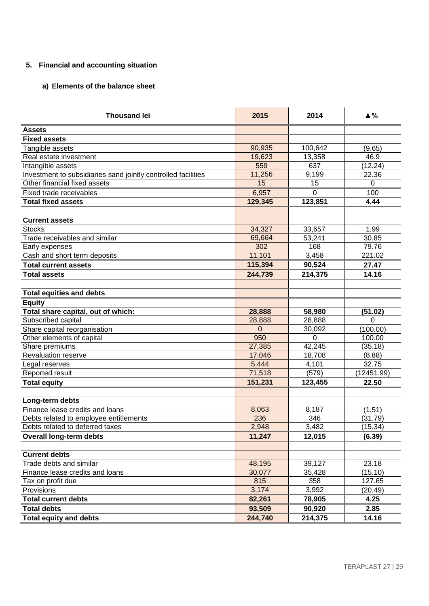## **5. Financial and accounting situation**

## **a) Elements of the balance sheet**

| <b>Thousand lei</b>                                           | 2015    | 2014        | $\triangle$ % |
|---------------------------------------------------------------|---------|-------------|---------------|
| <b>Assets</b>                                                 |         |             |               |
| <b>Fixed assets</b>                                           |         |             |               |
| Tangible assets                                               | 90,935  | 100,642     | (9.65)        |
| Real estate investment                                        | 19,623  | 13,358      | 46.9          |
| Intangible assets                                             | 559     | 637         | (12.24)       |
| Investment to subsidiaries sand jointly controlled facilities | 11,256  | 9,199       | 22.36         |
| Other financial fixed assets                                  | 15      | 15          | $\Omega$      |
| Fixed trade receivables                                       | 6,957   | $\mathbf 0$ | 100           |
| <b>Total fixed assets</b>                                     | 129,345 | 123,851     | 4.44          |
|                                                               |         |             |               |
| <b>Current assets</b>                                         |         |             |               |
| <b>Stocks</b>                                                 | 34,327  | 33,657      | 1.99          |
| Trade receivables and similar                                 | 69,664  | 53,241      | 30.85         |
| Early expenses                                                | 302     | 168         | 79.76         |
| Cash and short term deposits                                  | 11,101  | 3,458       | 221.02        |
| <b>Total current assets</b>                                   | 115,394 | 90,524      | 27.47         |
| <b>Total assets</b>                                           | 244,739 | 214,375     | 14.16         |
|                                                               |         |             |               |
| <b>Total equities and debts</b>                               |         |             |               |
| <b>Equity</b>                                                 |         |             |               |
| Total share capital, out of which:                            | 28,888  | 58,980      | (51.02)       |
| Subscribed capital                                            | 28,888  | 28,888      | $\Omega$      |
| Share capital reorganisation                                  | 0       | 30,092      | (100.00)      |
| Other elements of capital                                     | 950     | 0           | 100.00        |
| Share premiums                                                | 27,385  | 42,245      | (35.18)       |
| <b>Revaluation reserve</b>                                    | 17,046  | 18,708      | (8.88)        |
| Legal reserves                                                | 5,444   | 4,101       | 32.75         |
| Reported result                                               | 71,518  | (579)       | (12451.99)    |
| <b>Total equity</b>                                           | 151,231 | 123,455     | 22.50         |
|                                                               |         |             |               |
| Long-term debts                                               |         |             |               |
| Finance lease credits and loans                               | 8,063   | 8,187       | (1.51)        |
| Debts related to employee entitlements                        | 236     | 346         | (31.79)       |
| Debts related to deferred taxes                               | 2,948   | 3,482       | (15.34)       |
| <b>Overall long-term debts</b>                                | 11,247  | 12,015      | (6.39)        |
|                                                               |         |             |               |
| <b>Current debts</b>                                          |         |             |               |
| Trade debts and similar                                       | 48,195  | 39,127      | 23.18         |
| Finance lease credits and loans                               | 30,077  | 35,428      | (15.10)       |
| Tax on profit due                                             | 815     | 358         | 127.65        |
| Provisions                                                    | 3,174   | 3,992       | (20.49)       |
| <b>Total current debts</b>                                    | 82,261  | 78,905      | 4.25          |
| <b>Total debts</b>                                            | 93,509  | 90,920      | 2.85          |
| <b>Total equity and debts</b>                                 | 244,740 | 214,375     | 14.16         |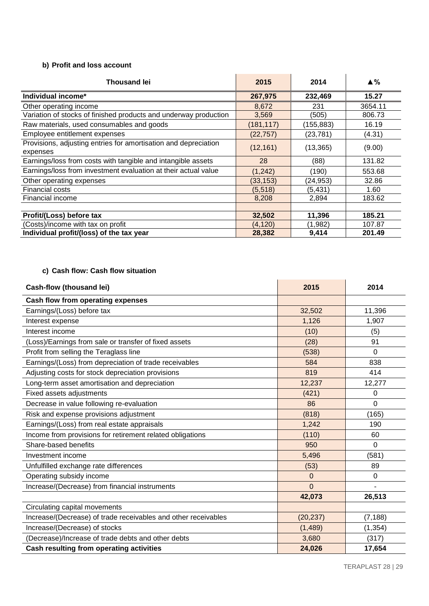## **b) Profit and loss account**

| <b>Thousand lei</b>                                                         | 2015       | 2014       | $\blacktriangle \%$ |
|-----------------------------------------------------------------------------|------------|------------|---------------------|
| Individual income*                                                          | 267,975    | 232,469    | 15.27               |
| Other operating income                                                      | 8,672      | 231        | 3654.11             |
| Variation of stocks of finished products and underway production            | 3,569      | (505)      | 806.73              |
| Raw materials, used consumables and goods                                   | (181, 117) | (155, 883) | 16.19               |
| Employee entitlement expenses                                               | (22, 757)  | (23, 781)  | (4.31)              |
| Provisions, adjusting entries for amortisation and depreciation<br>expenses | (12, 161)  | (13, 365)  | (9.00)              |
| Earnings/loss from costs with tangible and intangible assets                | 28         | (88)       | 131.82              |
| Earnings/loss from investment evaluation at their actual value              | (1, 242)   | (190)      | 553.68              |
| Other operating expenses                                                    | (33,153)   | (24,953)   | 32.86               |
| <b>Financial costs</b>                                                      | (5, 518)   | (5,431)    | 1.60                |
| Financial income                                                            | 8,208      | 2,894      | 183.62              |
|                                                                             |            |            |                     |
| Profit/(Loss) before tax                                                    | 32,502     | 11,396     | 185.21              |
| (Costs)/income with tax on profit                                           | (4,120)    | (1.982)    | 107.87              |
| Individual profit/(loss) of the tax year                                    | 28,382     | 9,414      | 201.49              |

# **c) Cash flow: Cash flow situation**

| <b>Cash-flow (thousand lei)</b>                                | 2015      | 2014           |
|----------------------------------------------------------------|-----------|----------------|
| Cash flow from operating expenses                              |           |                |
| Earnings/(Loss) before tax                                     | 32,502    | 11,396         |
| Interest expense                                               | 1,126     | 1,907          |
| Interest income                                                | (10)      | (5)            |
| (Loss)/Earnings from sale or transfer of fixed assets          | (28)      | 91             |
| Profit from selling the Teraglass line                         | (538)     | $\Omega$       |
| Earnings/(Loss) from depreciation of trade receivables         | 584       | 838            |
| Adjusting costs for stock depreciation provisions              | 819       | 414            |
| Long-term asset amortisation and depreciation                  | 12,237    | 12,277         |
| Fixed assets adjustments                                       | (421)     | $\Omega$       |
| Decrease in value following re-evaluation                      | 86        | $\overline{0}$ |
| Risk and expense provisions adjustment                         | (818)     | (165)          |
| Earnings/(Loss) from real estate appraisals                    | 1,242     | 190            |
| Income from provisions for retirement related obligations      | (110)     | 60             |
| Share-based benefits                                           | 950       | $\Omega$       |
| Investment income                                              | 5,496     | (581)          |
| Unfulfilled exchange rate differences                          | (53)      | 89             |
| Operating subsidy income                                       | $\Omega$  | 0              |
| Increase/(Decrease) from financial instruments                 | $\Omega$  | ۰              |
|                                                                | 42,073    | 26,513         |
| Circulating capital movements                                  |           |                |
| Increase/(Decrease) of trade receivables and other receivables | (20, 237) | (7, 188)       |
| Increase/(Decrease) of stocks                                  | (1, 489)  | (1, 354)       |
| Decrease)/Increase of trade debts and other debts              | 3,680     | (317)          |
| Cash resulting from operating activities                       | 24,026    | 17,654         |